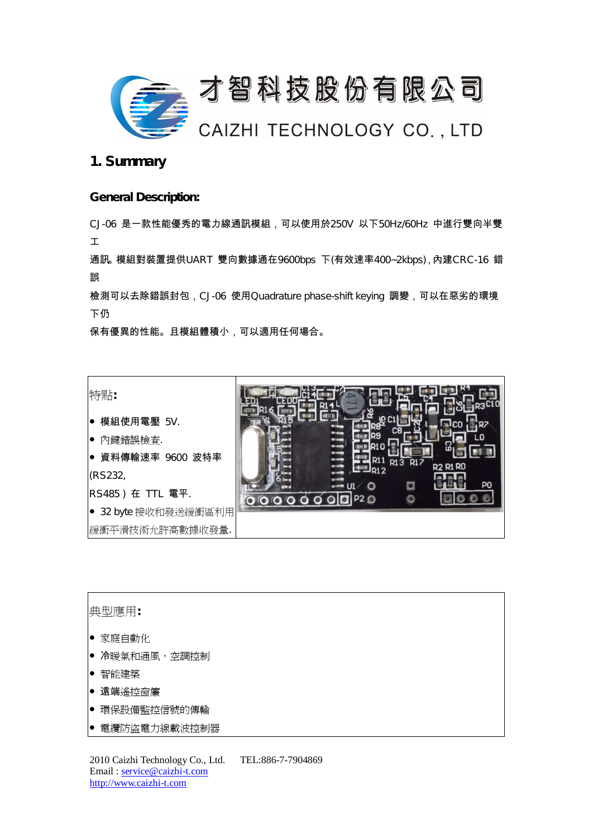

## **1. Summary**

#### **General Description:**

CJ-06 是一款性能優秀的電力線通訊模組,可以使用於250V 以下50Hz/60Hz 中進行雙向半雙 工

通訊。模組對裝置提供UART 雙向數據通在9600bps 下(有效速率400~2kbps),內建CRC-16 錯 誤

檢測可以去除錯誤封包,CJ-06 使用Quadrature phase-shift keying 調變,可以在惡劣的環境 下仍

保有優異的性能。且模組體積小,可以適用任何場合。

**特點:**

- 模組使用電壓 5V.
- 內鍵錯誤檢查.
- 資料傳輸速率 9600 波特率 (RS232,

RS485 ) 在 TTL 電平.

● 32 byte 接收和發送緩衝區利用

緩衝平滑技術允許高數據收發量.



#### **典型應用:**

- 家庭自動化
- 冷暖氣和通風,空調控制
- 智能建築
- 遠端遙控窗簾
- 環保設備監控信號的傳輸
- 電纜防盜電力線載波控制器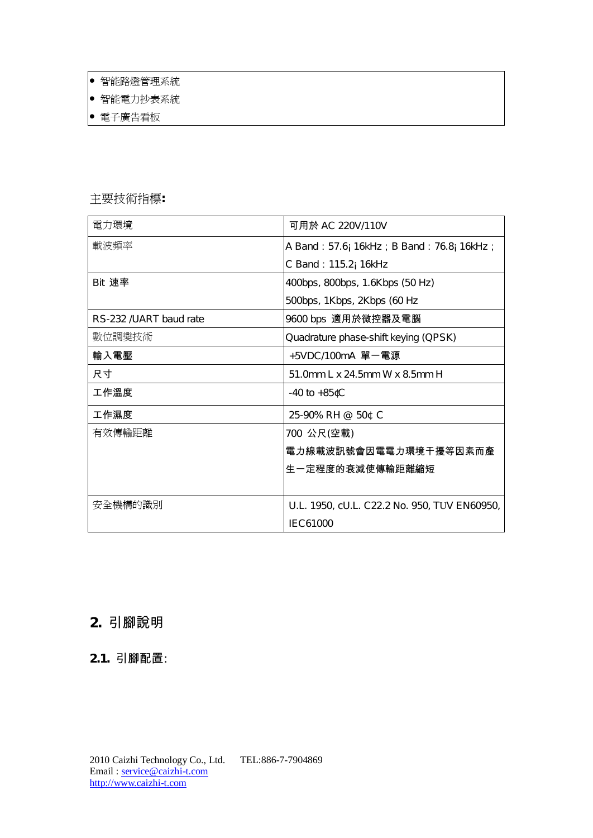- 智能路燈管理系統
- 智能電力抄表系統
- 電子廣告看板

### **主要技術指標:**

| 電力環境                   | 可用於 AC 220V/110V                             |
|------------------------|----------------------------------------------|
| 載波頻率                   | A Band: 57.6; 16kHz; B Band: 76.8; 16kHz;    |
|                        | C Band: 115.2; 16kHz                         |
| Bit 速率                 | 400bps, 800bps, 1.6Kbps (50 Hz)              |
|                        | 500bps, 1Kbps, 2Kbps (60 Hz                  |
| RS-232 /UART baud rate | 9600 bps 適用於微控器及電腦                           |
| 數位調變技術                 | Quadrature phase-shift keying (QPSK)         |
| 輸入電壓                   | +5VDC/100mA 單一電源                             |
| 尺寸                     | 51.0mm L x 24.5mm W x 8.5mm H                |
| 工作溫度                   | $-40$ to $+85$ $C$                           |
| 工作濕度                   | 25-90% RH @ 50¢ C                            |
| 有效傳輸距離                 | 700 公尺(空載)                                   |
|                        | 電力線載波訊號會因電電力環境干擾等因素而產                        |
|                        | 生一定程度的衰減使傳輸距離縮短                              |
|                        |                                              |
| 安全機構的識別                | U.L. 1950, cU.L. C22.2 No. 950, TUV EN60950, |
|                        | IEC61000                                     |

# **2. 引腳說明**

## **2.1. 引腳配置**: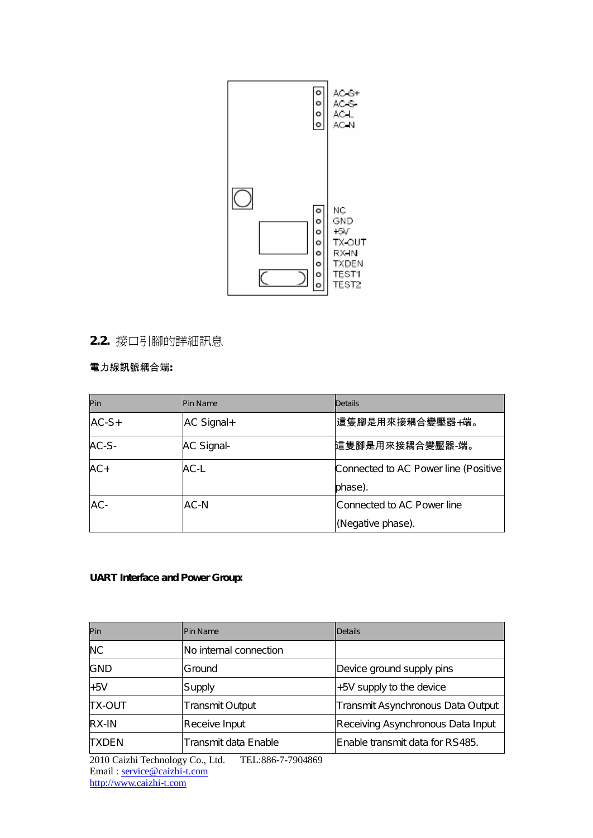

# **2.2. 接口引腳的詳細訊息**

#### **電力線訊號耦合端:**

| Pin     | <b>Pin Name</b>   | <b>Details</b>                       |
|---------|-------------------|--------------------------------------|
| $AC-S+$ | AC Signal+        | │這隻腳是用來接耦合變壓器+端。                     |
| AC-S-   | <b>AC Signal-</b> | 這隻腳是用來接耦合變壓器-端。                      |
| $AC+$   | AC-L              | Connected to AC Power line (Positive |
|         |                   | phase).                              |
| AC-     | AC-N              | Connected to AC Power line           |
|         |                   | (Negative phase).                    |

#### **UART Interface and Power Group:**

| Pin           | <b>Pin Name</b>        | <b>Details</b>                    |
|---------------|------------------------|-----------------------------------|
| <b>NC</b>     | No internal connection |                                   |
| <b>GND</b>    | Ground                 | Device ground supply pins         |
| $+5V$         | Supply                 | +5V supply to the device          |
| <b>TX-OUT</b> | <b>Transmit Output</b> | Transmit Asynchronous Data Output |
| RX-IN         | Receive Input          | Receiving Asynchronous Data Input |
| <b>TXDEN</b>  | Transmit data Enable   | Enable transmit data for RS485.   |

2010 Caizhi Technology Co., Ltd. TEL:886-7-7904869 Email : <u>service@caizhi-t.com</u> http://www.caizhi-t.com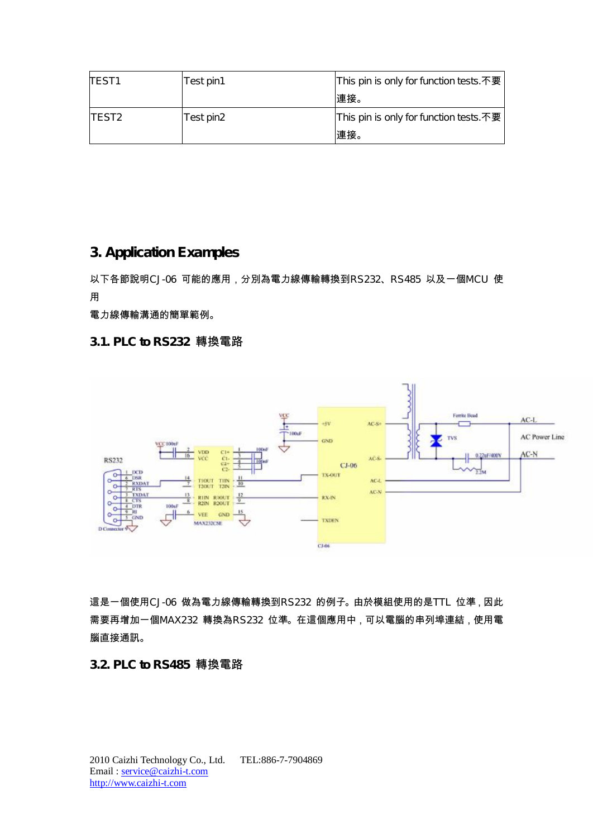| TEST <sub>1</sub>  | Test pin1 | This pin is only for function tests.不要 |
|--------------------|-----------|----------------------------------------|
|                    |           | 連接。                                    |
| ITEST <sub>2</sub> | Test pin2 | This pin is only for function tests.不要 |
|                    |           | 連接。                                    |

# **3. Application Examples**

以下各節說明CJ-06 可能的應用,分別為電力線傳輸轉換到RS232、RS485 以及一個MCU 使 用

電力線傳輸溝通的簡單範例。

### **3.1. PLC to RS232 轉換電路**



這是一個使用CJ-06 做為電力線傳輸轉換到RS232 的例子。由於模組使用的是TTL 位準,因此 需要再增加一個MAX232 轉換為RS232 位準。在這個應用中,可以電腦的串列埠連結,使用電 腦直接通訊。

### **3.2. PLC to RS485 轉換電路**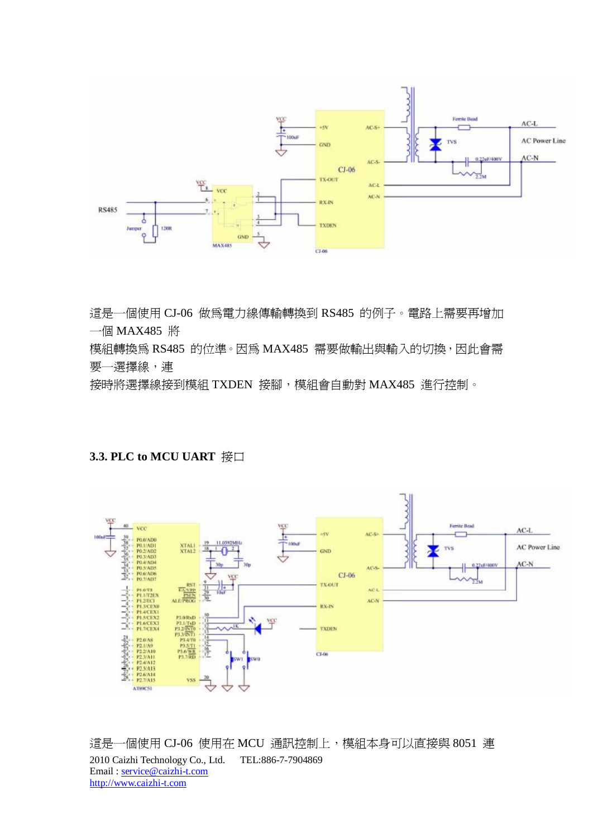

這是一個使用 CJ-06 做為電力線傳輸轉換到 RS485 的例子。電路上需要再增加 一個 MAX485 將

模組轉換為 RS485 的位準。因為 MAX485 需要做輸出與輸入的切換,因此會需 要一選擇線,連

接時將選擇線接到模組 TXDEN 接腳,模組會自動對 MAX485 進行控制。

### **3.3. PLC to MCU UART 接口**



2010 Caizhi Technology Co., Ltd. TEL:886-7-7904869 Email : service@caizhi-t.com http://www.caizhi-t.com 這是一個使用 CJ-06 使用在 MCU 通訊控制上,模組本身可以直接與 8051 連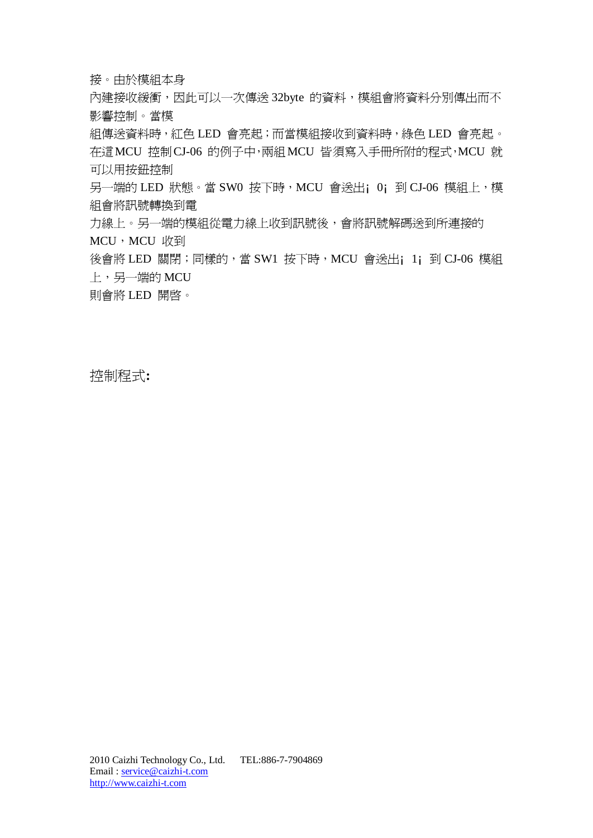接。由於模組本身

內建接收緩衝,因此可以一次傳送 32byte 的資料, 模組會將資料分別傳出而不 影響控制。當模

組傳送資料時,紅色 LED 會亮起;而當模組接收到資料時,綠色 LED 會亮起。 在這MCU 控制CJ-06 的例子中,兩組MCU 皆須寫入手冊所附的程式,MCU 就 可以用按鈕控制

另一端的 LED 狀態。當 SW0 按下時,MCU 會送出; 0; 到 CJ-06 模組上,模 組會將訊號轉換到電

力線上。另一端的模組從電力線上收到訊號後,會將訊號解碼送到所連接的 MCU, MCU 收到

後會將 LED 關閉; 同樣的, 當 SW1 按下時, MCU 會送出; 1; 到 CJ-06 模組 上,另一端的 MCU

則會將 LED 開啟。

**控制程式:**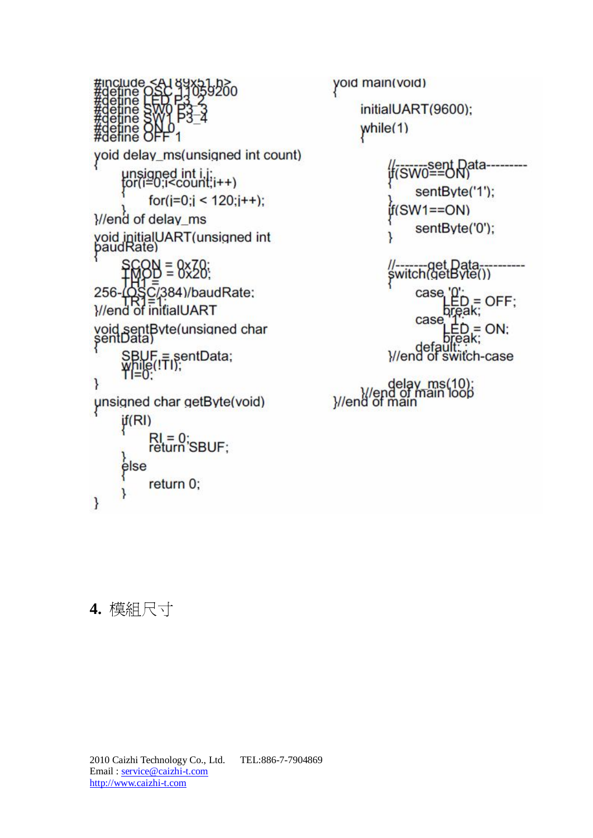



# **4. 模組尺寸**